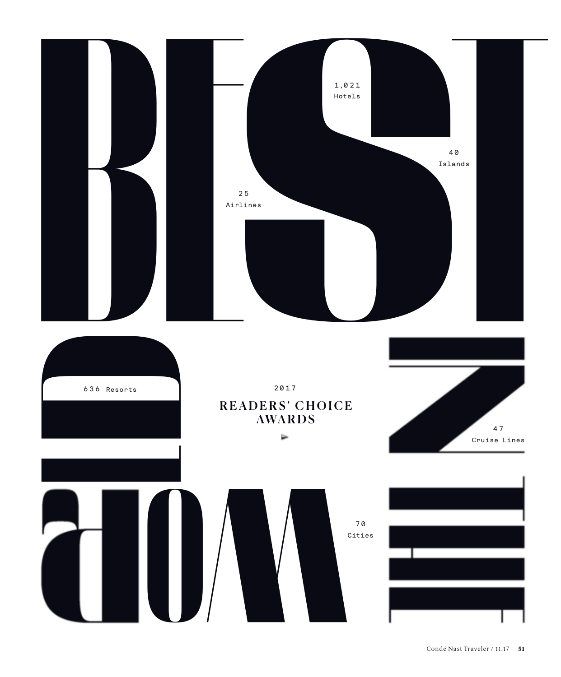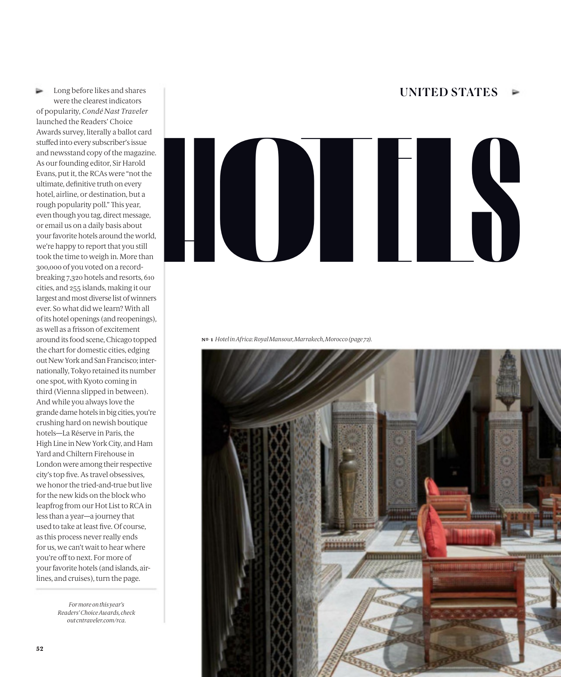## Long before likes and shares The UNITED STATES

⊵ were the clearest indicators of popularity, *Condé Nast Traveler* launched the Readers' Choice Awards survey, literally a ballot card stuffed into every subscriber's issue and newsstand copy of the magazine. As our founding editor, Sir Harold Evans, put it, the RCAs were "not the ultimate, definitive truth on every hotel, airline, or destination, but a rough popularity poll." This year, even though you tag, direct message, or email us on a daily basis about your favorite hotels around the world, we're happy to report that you still took the time to weigh in. More than 300,000 of you voted on a recordbreaking 7,320 hotels and resorts, 610 cities, and 255 islands, making it our largest and most diverse list of winners ever. So what did we learn? With all of its hotel openings (and reopenings), as well as a frisson of excitement around its food scene, Chicago topped the chart for domestic cities, edging out New York and San Francisco; internationally, Tokyo retained its number one spot, with Kyoto coming in third (Vienna slipped in between). And while you always love the grande dame hotels in big cities, you're crushing hard on newish boutique hotels—La Réserve in Paris, the High Line in New York City, and Ham Yard and Chiltern Firehouse in London were among their respective city's top five. As travel obsessives, we honor the tried-and-true but live for the new kids on the block who leapfrog from our Hot List to RCA in less than a year—a journey that used to take at least five. Of course, as this process never really ends for us, we can't wait to hear where you're off to next. For more of your favorite hotels (and islands, airlines, and cruises), turn the page.

> *For more on this year's Readers' Choice Awards, check out cntraveler.com/rca.*



**nº . 1** *Hotel in Africa: Royal Mansour, Marrakech, Morocco (page 72).*

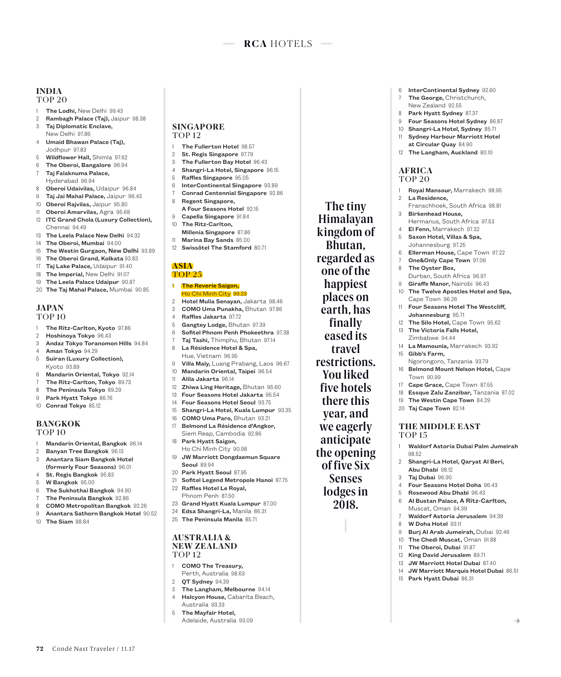### **INDIA** TOP 20

- 1 The Lodhi, New Delhi 99.43
- 2 Rambagh Palace (Taj), Jaipur 98.38
- 3 Taj Diplomatic Enclave, New Delhi 97.86
- 4 Umaid Bhawan Palace (Taj), Jodhpur 97.83
- 5 Wildflower Hall, Shimla 97.62
- 6 The Oberoi, Bangalore 96.94
- 7 Taj Falaknuma Palace, Hyderabad 96.94
- 8 Oberoi Udaivilas, Udaipur 96.84
- 9 Taj Jai Mahal Palace, Jaipur 96.43
- 10 Oberoi Rajvilas, Jaipur 95.80
- 11 Oberoi Amarvilas, Agra 95.68
- 12 ITC Grand Chola (Luxury Collection), Chennai 94.49
- 13 The Leela Palace New Delhi 94.32
- 14 The Oberoi, Mumbai 94.00
- 15 The Westin Gurgaon, New Delhi 93.89
- 16 The Oberoi Grand, Kolkata 93.83
- 17 Taj Lake Palace, Udaipur 91.40
- 18 The Imperial, New Delhi 91.07
- 19 The Leela Palace Udaipur 90.87
- 20 The Taj Mahal Palace, Mumbai 90.85

### **JAPAN** TOP 10

- 1 The Ritz-Carlton, Kyoto 97.86
- 2 Hoshinoya Tokyo 96.43
- 3 Andaz Tokyo Toranomon Hills 94.84
- 4 Aman Tokyo 94.29 5 Suiran (Luxury Collection),
- Kyoto 93.89
- Mandarin Oriental, Tokyo 92.14
- 7 The Ritz-Carlton, Tokyo 89.73
- 8 The Peninsula Tokyo 89.29 9 Park Hyatt Tokyo 86.76
- 10 Conrad Tokyo 85.12

# **BANGKOK**

TOP 10

- 1 Mandarin Oriental, Bangkok 96.14
- 2 Banyan Tree Bangkok 96.13
- 3 Anantara Siam Bangkok Hotel (formerly Four Seasons) 96.01
- 4 St. Regis Bangkok 95.83
- 5 W Bangkok 95.00
- 6 The Sukhothai Bangkok 94.90
- 7 The Peninsula Bangkok 92.86

72 Condé Nast Traveler / 11.17

- 8 **COMO Metropolitan Bangkok 92.26**
- 9 Anantara Sathorn Bangkok Hotel 90.52
- 10 The Siam 88.84

## **SINGAPORE** TOP 12

- The Fullerton Hotel 98.57
- 2 St. Regis Singapore 97.79
- 3 The Fullerton Bay Hotel 96.43 Shangri-La Hotel, Singapore 96.15
- 5 Raffles Singapore 95.05
- 6 InterContinental Singapore 93.89
- 7 Conrad Centennial Singapore 92.86
- 8 Regent Singapore, A Four Seasons Hotel 92.15
- 9 Capella Singapore 91.84 10 The Ritz-Carlton,
- Millenia Singapore 87.86
- 11 Marina Bay Sands 85.00
- 12 Swissôtel The Stamford 80.71

### **ASIA** TOP 25

### 1 The Reverie Saigon, Ho Chi Minh City 99.23

- 2 Hotel Mulia Senayan, Jakarta 98.46
- 3 COMO Uma Punakha, Bhutan 97.86
- 4 Raffles Jakarta 97.72 5 Gangtey Lodge, Bhutan 97.39
- 6 Sofitel Phnom Penh Phokeethra 97.38
- 7 Taj Tashi, Thimphu, Bhutan 97.14<br>8 La Résidence Hotel & Spa. La Résidence Hotel & Spa,
- Hue, Vietnam 96.95
- 9 Villa Maly, Luang Prabang, Laos 96.67 10 Mandarin Oriental, Taipei 96.54
- 11 Alila Jakarta 96.14
- 12 Zhiwa Ling Heritage, Bhutan 95.60
- 13 Four Seasons Hotel Jakarta 95.54<br>14 Four Seasons Hotel Seoul 93.75
- 14 Four Seasons Hotel Seoul 93.75
- 15 Shangri-La Hotel, Kuala Lumpur 93.35
- 16 COMO Uma Paro, Bhutan 93.21 17 Belmond La Résidence d'Angkor, Siem Reap, Cambodia 92.86
- 18 Park Hyatt Saigon, Ho Chi Minh City 90.98
- 19 JW Marriott Dongdaemun Square Seoul 89.94
- 20 Park Hyatt Seoul 87.95
- 21 Sofitel Legend Metropole Hanoi 87.75
- 22 Raffles Hotel Le Royal,
- Phnom Penh 87.50
- 23 Grand Hyatt Kuala Lumpur 87.00
- 24 Edsa Shangri-La, Manila 86.31 25 The Peninsula Manila 85.71
- 

### **AUSTRALIA & NEW ZEALAND** TOP 12

- 1 COMO The Treasury, Perth, Australia 98.63
- 
- 2 QT Sydney 94.39 3 The Langham, Melbourne 94.14
- 4 Halcyon House, Cabarita Beach, Australia 93.33
- 5 The Mayfair Hotel, Adelaide, Australia 93.09

The tiny Himalayan kingdom of Bhutan, regarded as one of the happiest places on earth, has finally eased its travel restrictions. You liked five hotels there this year, and we eagerly anticipate the opening of five Six Senses lodges in 2018.

- InterContinental Sydney 92.60 7 The George, Christchurch,
- New Zealand 92.55
- 8 Park Hyatt Sydney 87.37
- 9 Four Seasons Hotel Sydney 86.87
- 10 Shangri-La Hotel, Sydney 85.71 11 Sydney Harbour Marriott Hotel
- at Circular Quay 84.90
- 12 The Langham, Auckland 80.10

### **AFRICA** TOP 20

- 1 Royal Mansour, Marrakech 98.95
- 2 La Residence, Franschhoek, South Africa 98.81
- 3 Birkenhead House, Hermanus, South Africa 97.53

Ellerman House, Cape Town 97.22 One&Only Cape Town 97.06

Four Seasons Hotel The Westcliff,

Durban, South Africa 96.97 Giraffe Manor, Nairobi 96.43 The Twelve Apostles Hotel and Spa,

14 La Mamounia, Marrakech 93.92

Ngorongoro, Tanzania 93.79 16 Belmond Mount Nelson Hotel, Cape

17 Cape Grace, Cape Town 87.55 18 Essque Zalu Zanzibar, Tanzania 87.02 19 The Westin Cape Town 84.29 20 Taj Cape Town 82.14

**THE MIDDLE EAST**

Abu Dhabi 98.12 3 Taj Dubai 96.90

8 W Doha Hotel 93.11

15 Park Hyatt Dubai 86.31

1 Waldorf Astoria Dubai Palm Jumeirah

2 Shangri-La Hotel, Qaryat Al Beri,

Four Seasons Hotel Doha 96.43 Rosewood Abu Dhabi 96.43 Al Bustan Palace, A Ritz-Carlton, Muscat, Oman 94.39

Waldorf Astoria Jerusalem 94.39

Burj Al Arab Jumeirah, Dubai 92.46 10 The Chedi Muscat, Oman 91.88 The Oberoi, Dubai 91.87 King David Jerusalem 89.71 JW Marriott Hotel Dubai 87.40 14 JW Marriott Marquis Hotel Dubai 86.51

 $\rightarrow$ 

4 El Fenn, Marrakech 97.32 5 Saxon Hotel, Villas & Spa, Johannesburg 97.25

8 The Oyster Box,

Cape Town 96.26

15 Gibb's Farm,

Town 90.99

TOP 15

98.52

Johannesburg 95.71 12 The Silo Hotel, Cape Town 95.62 13 The Victoria Falls Hotel, Zimbabwe 94.44